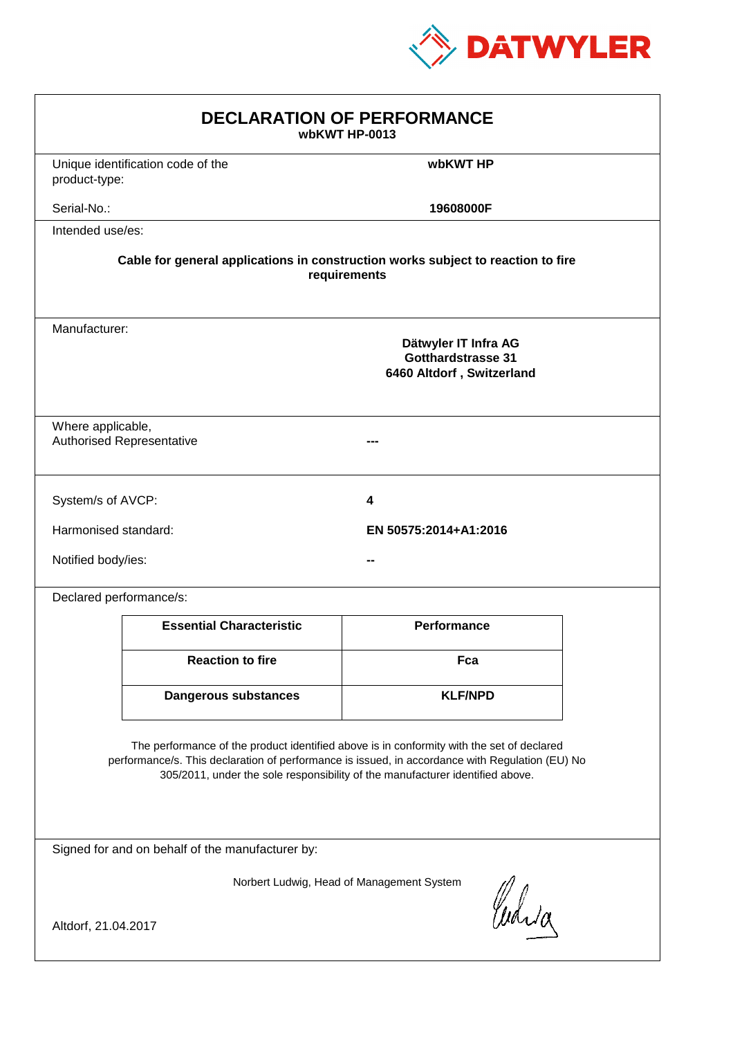

| <b>DECLARATION OF PERFORMANCE</b><br>wbKWT HP-0013                                                                                                                                                                                                                            |                                                                                          |                       |  |  |
|-------------------------------------------------------------------------------------------------------------------------------------------------------------------------------------------------------------------------------------------------------------------------------|------------------------------------------------------------------------------------------|-----------------------|--|--|
| product-type:                                                                                                                                                                                                                                                                 | Unique identification code of the                                                        | wbKWT HP              |  |  |
| Serial-No.:                                                                                                                                                                                                                                                                   |                                                                                          | 19608000F             |  |  |
| Intended use/es:                                                                                                                                                                                                                                                              |                                                                                          |                       |  |  |
| Cable for general applications in construction works subject to reaction to fire<br>requirements                                                                                                                                                                              |                                                                                          |                       |  |  |
|                                                                                                                                                                                                                                                                               | Manufacturer:<br>Dätwyler IT Infra AG<br>Gotthardstrasse 31<br>6460 Altdorf, Switzerland |                       |  |  |
| Where applicable,                                                                                                                                                                                                                                                             | <b>Authorised Representative</b>                                                         |                       |  |  |
| System/s of AVCP:                                                                                                                                                                                                                                                             |                                                                                          | 4                     |  |  |
| Harmonised standard:                                                                                                                                                                                                                                                          |                                                                                          | EN 50575:2014+A1:2016 |  |  |
| Notified body/ies:                                                                                                                                                                                                                                                            |                                                                                          |                       |  |  |
|                                                                                                                                                                                                                                                                               | Declared performance/s:                                                                  |                       |  |  |
|                                                                                                                                                                                                                                                                               | <b>Essential Characteristic</b>                                                          | <b>Performance</b>    |  |  |
|                                                                                                                                                                                                                                                                               | <b>Reaction to fire</b>                                                                  | Fca                   |  |  |
|                                                                                                                                                                                                                                                                               | <b>Dangerous substances</b>                                                              | <b>KLF/NPD</b>        |  |  |
| The performance of the product identified above is in conformity with the set of declared<br>performance/s. This declaration of performance is issued, in accordance with Regulation (EU) No<br>305/2011, under the sole responsibility of the manufacturer identified above. |                                                                                          |                       |  |  |
| Signed for and on behalf of the manufacturer by:                                                                                                                                                                                                                              |                                                                                          |                       |  |  |
| Norbert Ludwig, Head of Management System<br>Curia                                                                                                                                                                                                                            |                                                                                          |                       |  |  |
| Altdorf, 21.04.2017                                                                                                                                                                                                                                                           |                                                                                          |                       |  |  |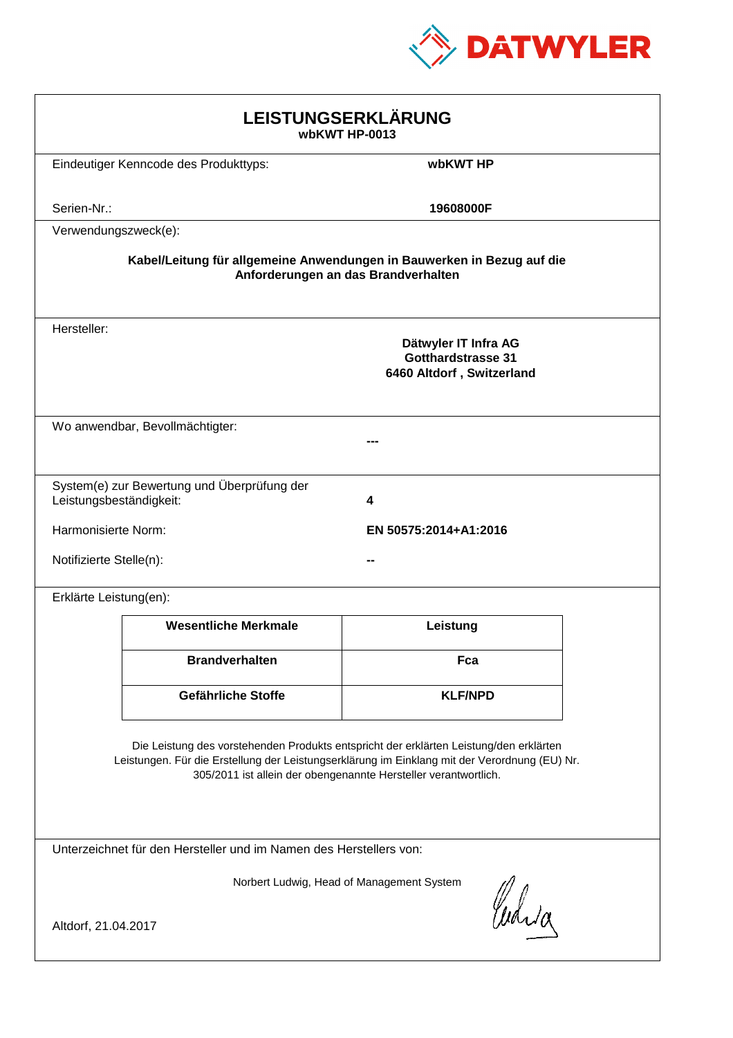

| LEISTUNGSERKLÄRUNG<br>wbKWT HP-0013                                                                                                                                                                                                                        |                                                                                |                |  |  |
|------------------------------------------------------------------------------------------------------------------------------------------------------------------------------------------------------------------------------------------------------------|--------------------------------------------------------------------------------|----------------|--|--|
|                                                                                                                                                                                                                                                            | Eindeutiger Kenncode des Produkttyps:                                          | wbKWT HP       |  |  |
| Serien-Nr.:                                                                                                                                                                                                                                                |                                                                                | 19608000F      |  |  |
| Verwendungszweck(e):                                                                                                                                                                                                                                       |                                                                                |                |  |  |
| Kabel/Leitung für allgemeine Anwendungen in Bauwerken in Bezug auf die<br>Anforderungen an das Brandverhalten                                                                                                                                              |                                                                                |                |  |  |
| Hersteller:                                                                                                                                                                                                                                                | Dätwyler IT Infra AG<br><b>Gotthardstrasse 31</b><br>6460 Altdorf, Switzerland |                |  |  |
|                                                                                                                                                                                                                                                            | Wo anwendbar, Bevollmächtigter:                                                |                |  |  |
| Leistungsbeständigkeit:                                                                                                                                                                                                                                    | System(e) zur Bewertung und Überprüfung der                                    | 4              |  |  |
| Harmonisierte Norm:<br>EN 50575:2014+A1:2016                                                                                                                                                                                                               |                                                                                |                |  |  |
|                                                                                                                                                                                                                                                            | Notifizierte Stelle(n):                                                        |                |  |  |
| Erklärte Leistung(en):                                                                                                                                                                                                                                     |                                                                                |                |  |  |
|                                                                                                                                                                                                                                                            | <b>Wesentliche Merkmale</b>                                                    | Leistung       |  |  |
|                                                                                                                                                                                                                                                            | <b>Brandverhalten</b>                                                          | Fca            |  |  |
|                                                                                                                                                                                                                                                            | Gefährliche Stoffe                                                             | <b>KLF/NPD</b> |  |  |
| Die Leistung des vorstehenden Produkts entspricht der erklärten Leistung/den erklärten<br>Leistungen. Für die Erstellung der Leistungserklärung im Einklang mit der Verordnung (EU) Nr.<br>305/2011 ist allein der obengenannte Hersteller verantwortlich. |                                                                                |                |  |  |
| Unterzeichnet für den Hersteller und im Namen des Herstellers von:                                                                                                                                                                                         |                                                                                |                |  |  |
| Norbert Ludwig, Head of Management System<br>Curia<br>Altdorf, 21.04.2017                                                                                                                                                                                  |                                                                                |                |  |  |
|                                                                                                                                                                                                                                                            |                                                                                |                |  |  |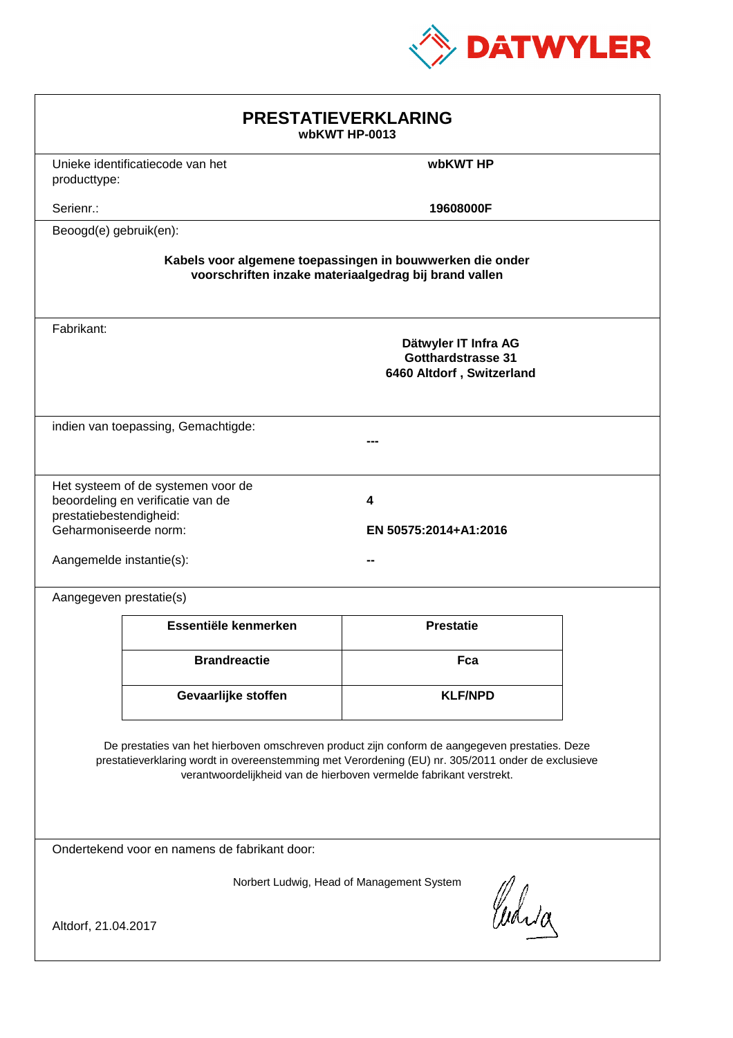

| <b>PRESTATIEVERKLARING</b><br>wbKWT HP-0013                                                                                                                                                                                                                                 |                                                                         |                                                                                |  |  |
|-----------------------------------------------------------------------------------------------------------------------------------------------------------------------------------------------------------------------------------------------------------------------------|-------------------------------------------------------------------------|--------------------------------------------------------------------------------|--|--|
| producttype:                                                                                                                                                                                                                                                                | Unieke identificatiecode van het                                        | wbKWT HP                                                                       |  |  |
| Serienr.:                                                                                                                                                                                                                                                                   |                                                                         | 19608000F                                                                      |  |  |
| Beoogd(e) gebruik(en):                                                                                                                                                                                                                                                      |                                                                         |                                                                                |  |  |
| Kabels voor algemene toepassingen in bouwwerken die onder<br>voorschriften inzake materiaalgedrag bij brand vallen                                                                                                                                                          |                                                                         |                                                                                |  |  |
| Fabrikant:                                                                                                                                                                                                                                                                  |                                                                         | Dätwyler IT Infra AG<br><b>Gotthardstrasse 31</b><br>6460 Altdorf, Switzerland |  |  |
|                                                                                                                                                                                                                                                                             | indien van toepassing, Gemachtigde:                                     |                                                                                |  |  |
| prestatiebestendigheid:<br>Geharmoniseerde norm:<br>Aangemelde instantie(s):                                                                                                                                                                                                | Het systeem of de systemen voor de<br>beoordeling en verificatie van de | 4<br>EN 50575:2014+A1:2016                                                     |  |  |
| Aangegeven prestatie(s)                                                                                                                                                                                                                                                     |                                                                         |                                                                                |  |  |
|                                                                                                                                                                                                                                                                             | Essentiële kenmerken                                                    | <b>Prestatie</b>                                                               |  |  |
|                                                                                                                                                                                                                                                                             | <b>Brandreactie</b>                                                     | Fca                                                                            |  |  |
|                                                                                                                                                                                                                                                                             | Gevaarlijke stoffen                                                     | <b>KLF/NPD</b>                                                                 |  |  |
| De prestaties van het hierboven omschreven product zijn conform de aangegeven prestaties. Deze<br>prestatieverklaring wordt in overeenstemming met Verordening (EU) nr. 305/2011 onder de exclusieve<br>verantwoordelijkheid van de hierboven vermelde fabrikant verstrekt. |                                                                         |                                                                                |  |  |
| Ondertekend voor en namens de fabrikant door:                                                                                                                                                                                                                               |                                                                         |                                                                                |  |  |
| Norbert Ludwig, Head of Management System<br>Curia                                                                                                                                                                                                                          |                                                                         |                                                                                |  |  |
| Altdorf, 21.04.2017                                                                                                                                                                                                                                                         |                                                                         |                                                                                |  |  |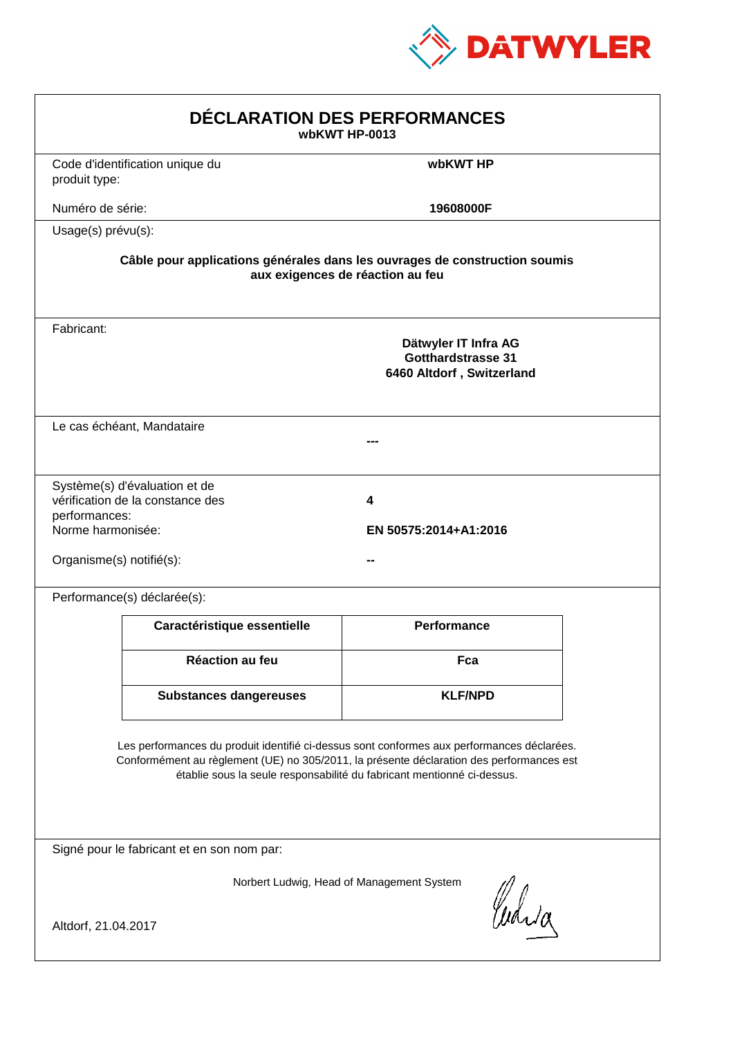

| DÉCLARATION DES PERFORMANCES<br>wbKWT HP-0013                  |                                                                   |                                                                                                                                                                                                                                                                  |  |
|----------------------------------------------------------------|-------------------------------------------------------------------|------------------------------------------------------------------------------------------------------------------------------------------------------------------------------------------------------------------------------------------------------------------|--|
| produit type:                                                  | Code d'identification unique du                                   | wbKWT HP                                                                                                                                                                                                                                                         |  |
| Numéro de série:                                               |                                                                   | 19608000F                                                                                                                                                                                                                                                        |  |
| Usage(s) prévu(s):                                             |                                                                   |                                                                                                                                                                                                                                                                  |  |
|                                                                |                                                                   | Câble pour applications générales dans les ouvrages de construction soumis<br>aux exigences de réaction au feu                                                                                                                                                   |  |
| Fabricant:                                                     |                                                                   | Dätwyler IT Infra AG<br><b>Gotthardstrasse 31</b><br>6460 Altdorf, Switzerland                                                                                                                                                                                   |  |
|                                                                | Le cas échéant, Mandataire                                        |                                                                                                                                                                                                                                                                  |  |
| performances:<br>Norme harmonisée:<br>Organisme(s) notifié(s): | Système(s) d'évaluation et de<br>vérification de la constance des | 4<br>EN 50575:2014+A1:2016                                                                                                                                                                                                                                       |  |
|                                                                | Performance(s) déclarée(s):                                       |                                                                                                                                                                                                                                                                  |  |
|                                                                | Caractéristique essentielle                                       | <b>Performance</b>                                                                                                                                                                                                                                               |  |
|                                                                | <b>Réaction au feu</b>                                            | Fca                                                                                                                                                                                                                                                              |  |
|                                                                | <b>Substances dangereuses</b>                                     | <b>KLF/NPD</b>                                                                                                                                                                                                                                                   |  |
|                                                                |                                                                   | Les performances du produit identifié ci-dessus sont conformes aux performances déclarées.<br>Conformément au règlement (UE) no 305/2011, la présente déclaration des performances est<br>établie sous la seule responsabilité du fabricant mentionné ci-dessus. |  |
|                                                                | Signé pour le fabricant et en son nom par:                        |                                                                                                                                                                                                                                                                  |  |
| Altdorf, 21.04.2017                                            |                                                                   | Norbert Ludwig, Head of Management System<br>Curia                                                                                                                                                                                                               |  |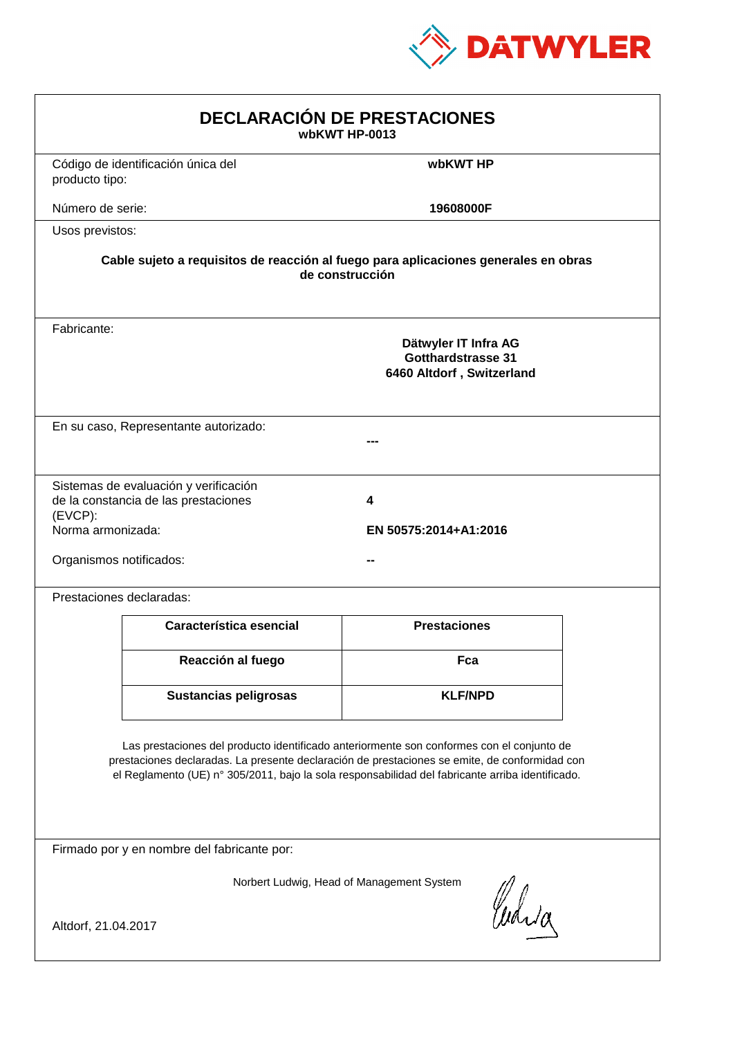

| <b>DECLARACIÓN DE PRESTACIONES</b><br>wbKWT HP-0013                                                                                                                                                                                                                                            |                                                                                                                                                             |                     |  |  |  |
|------------------------------------------------------------------------------------------------------------------------------------------------------------------------------------------------------------------------------------------------------------------------------------------------|-------------------------------------------------------------------------------------------------------------------------------------------------------------|---------------------|--|--|--|
| producto tipo:                                                                                                                                                                                                                                                                                 | Código de identificación única del                                                                                                                          | wbKWT HP            |  |  |  |
| Número de serie:                                                                                                                                                                                                                                                                               |                                                                                                                                                             | 19608000F           |  |  |  |
| Usos previstos:                                                                                                                                                                                                                                                                                |                                                                                                                                                             |                     |  |  |  |
|                                                                                                                                                                                                                                                                                                | Cable sujeto a requisitos de reacción al fuego para aplicaciones generales en obras<br>de construcción                                                      |                     |  |  |  |
| Fabricante:                                                                                                                                                                                                                                                                                    | Dätwyler IT Infra AG<br><b>Gotthardstrasse 31</b><br>6460 Altdorf, Switzerland                                                                              |                     |  |  |  |
|                                                                                                                                                                                                                                                                                                | En su caso, Representante autorizado:                                                                                                                       |                     |  |  |  |
| $(EVCP)$ :                                                                                                                                                                                                                                                                                     | Sistemas de evaluación y verificación<br>de la constancia de las prestaciones<br>4<br>Norma armonizada:<br>EN 50575:2014+A1:2016<br>Organismos notificados: |                     |  |  |  |
|                                                                                                                                                                                                                                                                                                | Prestaciones declaradas:                                                                                                                                    |                     |  |  |  |
|                                                                                                                                                                                                                                                                                                | Característica esencial                                                                                                                                     | <b>Prestaciones</b> |  |  |  |
|                                                                                                                                                                                                                                                                                                | Reacción al fuego                                                                                                                                           | Fca                 |  |  |  |
|                                                                                                                                                                                                                                                                                                | <b>Sustancias peligrosas</b>                                                                                                                                | <b>KLF/NPD</b>      |  |  |  |
| Las prestaciones del producto identificado anteriormente son conformes con el conjunto de<br>prestaciones declaradas. La presente declaración de prestaciones se emite, de conformidad con<br>el Reglamento (UE) nº 305/2011, bajo la sola responsabilidad del fabricante arriba identificado. |                                                                                                                                                             |                     |  |  |  |
| Firmado por y en nombre del fabricante por:                                                                                                                                                                                                                                                    |                                                                                                                                                             |                     |  |  |  |
| Norbert Ludwig, Head of Management System<br>Curia<br>Altdorf, 21.04.2017                                                                                                                                                                                                                      |                                                                                                                                                             |                     |  |  |  |